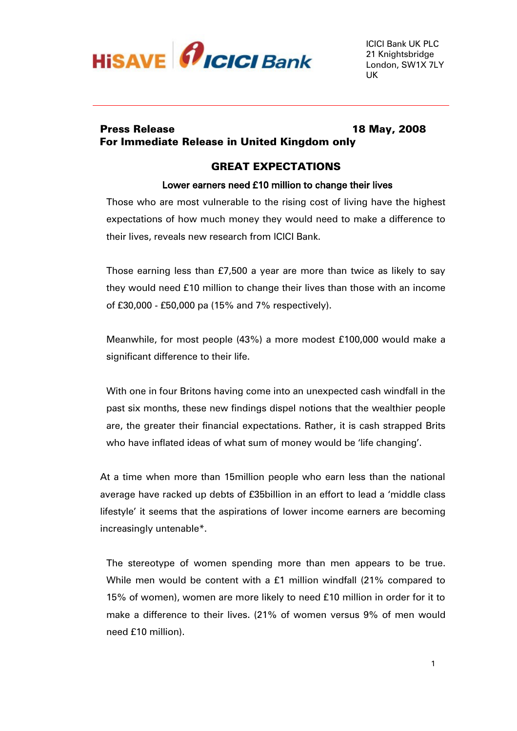

# Press Release 18 May, 2008 For Immediate Release in United Kingdom only

# GREAT EXPECTATIONS

### Lower earners need £10 million to change their lives

Those who are most vulnerable to the rising cost of living have the highest expectations of how much money they would need to make a difference to their lives, reveals new research from ICICI Bank.

Those earning less than £7,500 a year are more than twice as likely to say they would need £10 million to change their lives than those with an income of £30,000 - £50,000 pa (15% and 7% respectively).

Meanwhile, for most people (43%) a more modest £100,000 would make a significant difference to their life.

With one in four Britons having come into an unexpected cash windfall in the past six months, these new findings dispel notions that the wealthier people are, the greater their financial expectations. Rather, it is cash strapped Brits who have inflated ideas of what sum of money would be 'life changing'.

At a time when more than 15million people who earn less than the national average have racked up debts of £35billion in an effort to lead a 'middle class lifestyle' it seems that the aspirations of lower income earners are becoming increasingly untenable\*.

The stereotype of women spending more than men appears to be true. While men would be content with a £1 million windfall (21% compared to 15% of women), women are more likely to need £10 million in order for it to make a difference to their lives. (21% of women versus 9% of men would need £10 million).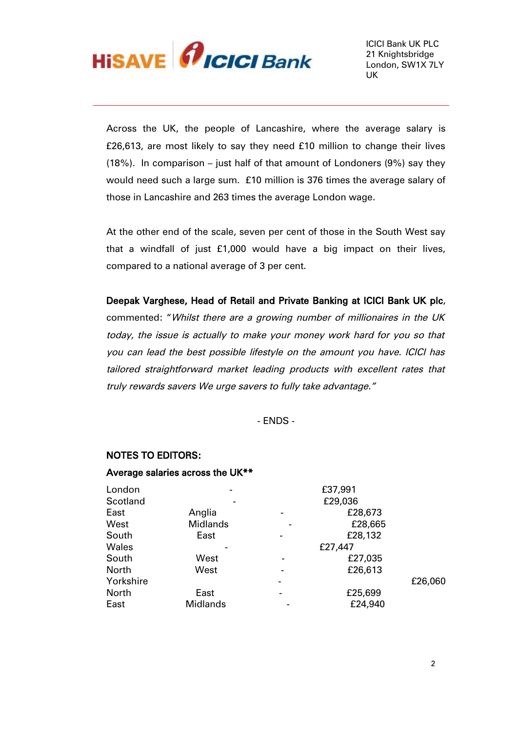

Across the UK, the people of Lancashire, where the average salary is £26,613, are most likely to say they need £10 million to change their lives (18%). In comparison – just half of that amount of Londoners (9%) say they would need such a large sum. £10 million is 376 times the average salary of those in Lancashire and 263 times the average London wage.

At the other end of the scale, seven per cent of those in the South West say that a windfall of just £1,000 would have a big impact on their lives, compared to a national average of 3 per cent.

Deepak Varghese, Head of Retail and Private Banking at ICICI Bank UK plc, commented: "Whilst there are a growing number of millionaires in the UK today, the issue is actually to make your money work hard for you so that you can lead the best possible lifestyle on the amount you have. ICICI has tailored straightforward market leading products with excellent rates that truly rewards savers We urge savers to fully take advantage."

- ENDS -

#### NOTES TO EDITORS:

#### Average salaries across the UK\*\*

| London       |                 |                          | £37,991 |         |
|--------------|-----------------|--------------------------|---------|---------|
| Scotland     |                 |                          | £29,036 |         |
| East         | Anglia          |                          | £28,673 |         |
| West         | <b>Midlands</b> |                          | £28,665 |         |
| South        | East            |                          | £28,132 |         |
| Wales        |                 |                          | £27,447 |         |
| South        | West            |                          | £27,035 |         |
| <b>North</b> | West            | $\overline{\phantom{0}}$ | £26,613 |         |
| Yorkshire    |                 |                          |         | £26,060 |
| North        | East            |                          | £25,699 |         |
| East         | <b>Midlands</b> |                          | £24,940 |         |